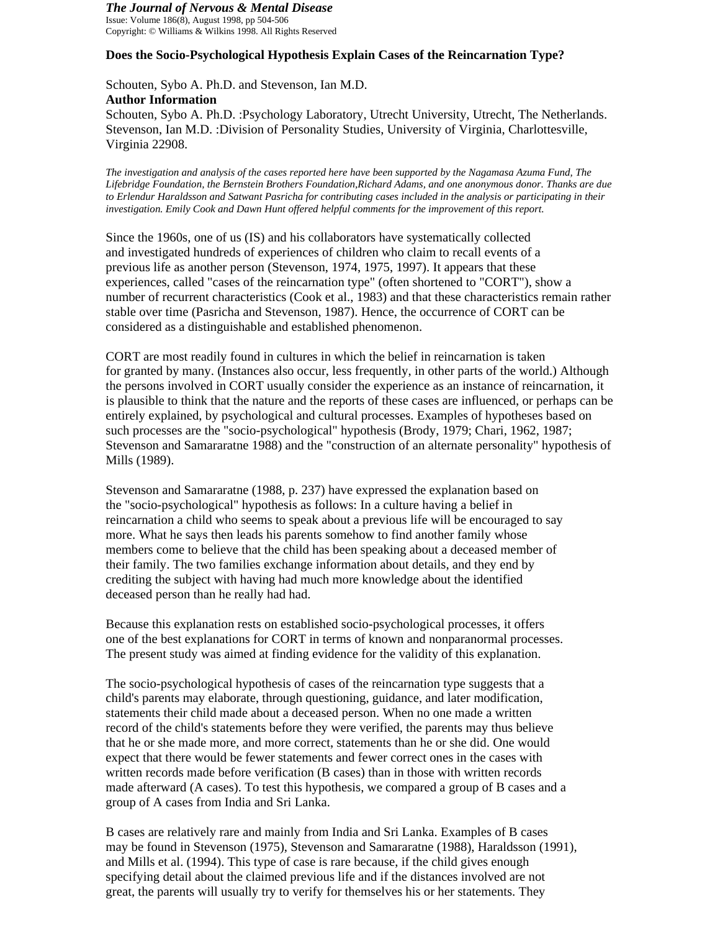# *The Journal of Nervous & Mental Disease*

Issue: Volume 186(8), August 1998, pp 504-506 Copyright: © Williams & Wilkins 1998. All Rights Reserved

# **Does the Socio-Psychological Hypothesis Explain Cases of the Reincarnation Type?**

Schouten, Sybo A. Ph.D. and Stevenson, Ian M.D. **Author Information** 

Schouten, Sybo A. Ph.D. :Psychology Laboratory, Utrecht University, Utrecht, The Netherlands. Stevenson, Ian M.D. :Division of Personality Studies, University of Virginia, Charlottesville, Virginia 22908.

*The investigation and analysis of the cases reported here have been supported by the Nagamasa Azuma Fund, The Lifebridge Foundation, the Bernstein Brothers Foundation,Richard Adams, and one anonymous donor. Thanks are due to Erlendur Haraldsson and Satwant Pasricha for contributing cases included in the analysis or participating in their investigation. Emily Cook and Dawn Hunt offered helpful comments for the improvement of this report.* 

Since the 1960s, one of us (IS) and his collaborators have systematically collected and investigated hundreds of experiences of children who claim to recall events of a previous life as another person (Stevenson, 1974, 1975, 1997). It appears that these experiences, called "cases of the reincarnation type" (often shortened to "CORT"), show a number of recurrent characteristics (Cook et al., 1983) and that these characteristics remain rather stable over time (Pasricha and Stevenson, 1987). Hence, the occurrence of CORT can be considered as a distinguishable and established phenomenon.

CORT are most readily found in cultures in which the belief in reincarnation is taken for granted by many. (Instances also occur, less frequently, in other parts of the world.) Although the persons involved in CORT usually consider the experience as an instance of reincarnation, it is plausible to think that the nature and the reports of these cases are influenced, or perhaps can be entirely explained, by psychological and cultural processes. Examples of hypotheses based on such processes are the "socio-psychological" hypothesis (Brody, 1979; Chari, 1962, 1987; Stevenson and Samararatne 1988) and the "construction of an alternate personality" hypothesis of Mills (1989).

Stevenson and Samararatne (1988, p. 237) have expressed the explanation based on the "socio-psychological" hypothesis as follows: In a culture having a belief in reincarnation a child who seems to speak about a previous life will be encouraged to say more. What he says then leads his parents somehow to find another family whose members come to believe that the child has been speaking about a deceased member of their family. The two families exchange information about details, and they end by crediting the subject with having had much more knowledge about the identified deceased person than he really had had.

Because this explanation rests on established socio-psychological processes, it offers one of the best explanations for CORT in terms of known and nonparanormal processes. The present study was aimed at finding evidence for the validity of this explanation.

The socio-psychological hypothesis of cases of the reincarnation type suggests that a child's parents may elaborate, through questioning, guidance, and later modification, statements their child made about a deceased person. When no one made a written record of the child's statements before they were verified, the parents may thus believe that he or she made more, and more correct, statements than he or she did. One would expect that there would be fewer statements and fewer correct ones in the cases with written records made before verification (B cases) than in those with written records made afterward (A cases). To test this hypothesis, we compared a group of B cases and a group of A cases from India and Sri Lanka.

B cases are relatively rare and mainly from India and Sri Lanka. Examples of B cases may be found in Stevenson (1975), Stevenson and Samararatne (1988), Haraldsson (1991), and Mills et al. (1994). This type of case is rare because, if the child gives enough specifying detail about the claimed previous life and if the distances involved are not great, the parents will usually try to verify for themselves his or her statements. They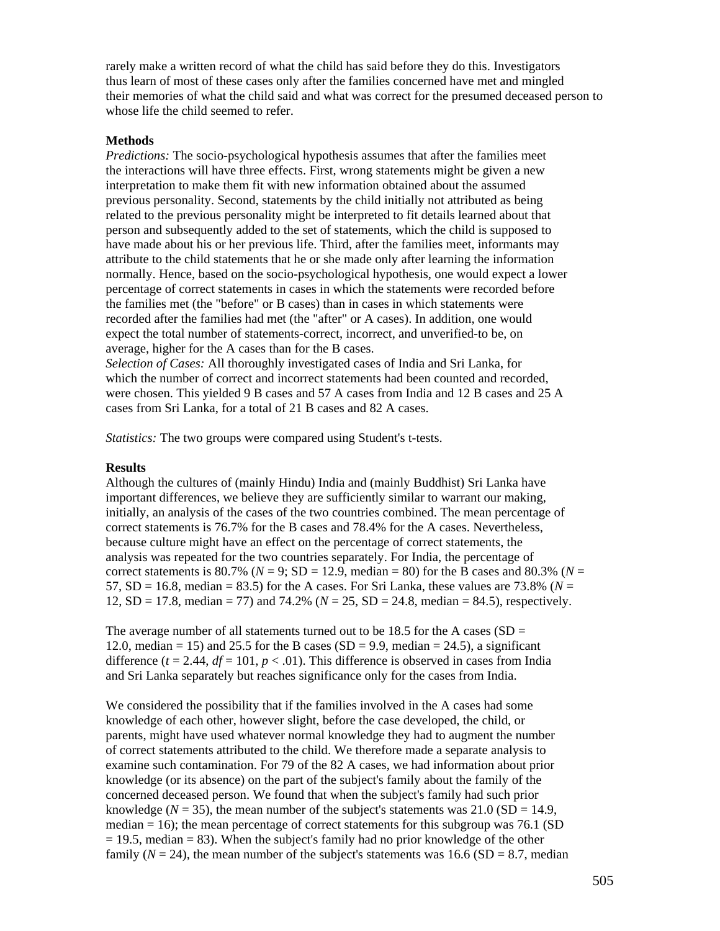rarely make a written record of what the child has said before they do this. Investigators thus learn of most of these cases only after the families concerned have met and mingled their memories of what the child said and what was correct for the presumed deceased person to whose life the child seemed to refer.

## **Methods**

*Predictions:* The socio-psychological hypothesis assumes that after the families meet the interactions will have three effects. First, wrong statements might be given a new interpretation to make them fit with new information obtained about the assumed previous personality. Second, statements by the child initially not attributed as being related to the previous personality might be interpreted to fit details learned about that person and subsequently added to the set of statements, which the child is supposed to have made about his or her previous life. Third, after the families meet, informants may attribute to the child statements that he or she made only after learning the information normally. Hence, based on the socio-psychological hypothesis, one would expect a lower percentage of correct statements in cases in which the statements were recorded before the families met (the "before" or B cases) than in cases in which statements were recorded after the families had met (the "after" or A cases). In addition, one would expect the total number of statements-correct, incorrect, and unverified-to be, on average, higher for the A cases than for the B cases.

*Selection of Cases:* All thoroughly investigated cases of India and Sri Lanka, for which the number of correct and incorrect statements had been counted and recorded, were chosen. This yielded 9 B cases and 57 A cases from India and 12 B cases and 25 A cases from Sri Lanka, for a total of 21 B cases and 82 A cases.

*Statistics:* The two groups were compared using Student's t-tests.

## **Results**

Although the cultures of (mainly Hindu) India and (mainly Buddhist) Sri Lanka have important differences, we believe they are sufficiently similar to warrant our making, initially, an analysis of the cases of the two countries combined. The mean percentage of correct statements is 76.7% for the B cases and 78.4% for the A cases. Nevertheless, because culture might have an effect on the percentage of correct statements, the analysis was repeated for the two countries separately. For India, the percentage of correct statements is  $80.7\%$  ( $N = 9$ ; SD = 12.9, median = 80) for the B cases and  $80.3\%$  ( $N =$ 57,  $SD = 16.8$ , median = 83.5) for the A cases. For Sri Lanka, these values are 73.8% ( $N =$ 12, SD = 17.8, median = 77) and 74.2% (*N* = 25, SD = 24.8, median = 84.5), respectively.

The average number of all statements turned out to be 18.5 for the A cases ( $SD =$ 12.0, median = 15) and 25.5 for the B cases (SD = 9.9, median = 24.5), a significant difference  $(t = 2.44, df = 101, p < .01)$ . This difference is observed in cases from India and Sri Lanka separately but reaches significance only for the cases from India.

We considered the possibility that if the families involved in the A cases had some knowledge of each other, however slight, before the case developed, the child, or parents, might have used whatever normal knowledge they had to augment the number of correct statements attributed to the child. We therefore made a separate analysis to examine such contamination. For 79 of the 82 A cases, we had information about prior knowledge (or its absence) on the part of the subject's family about the family of the concerned deceased person. We found that when the subject's family had such prior knowledge ( $N = 35$ ), the mean number of the subject's statements was 21.0 (SD = 14.9, median  $= 16$ ); the mean percentage of correct statements for this subgroup was 76.1 (SD  $= 19.5$ , median  $= 83$ ). When the subject's family had no prior knowledge of the other family  $(N = 24)$ , the mean number of the subject's statements was  $16.6$  (SD = 8.7, median